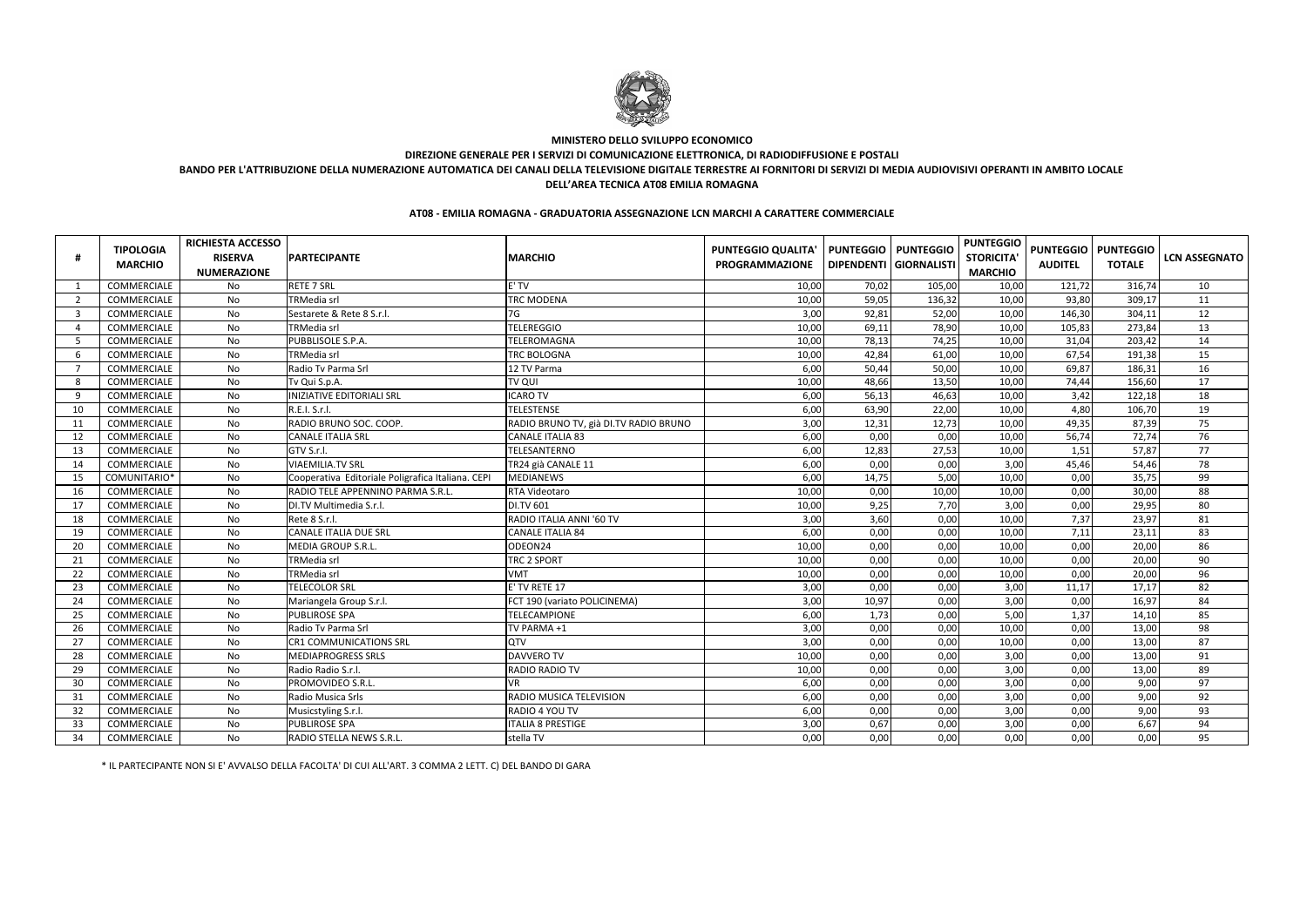| #              | <b>TIPOLOGIA</b><br><b>MARCHIO</b> | <b>RICHIESTA ACCESSO</b><br><b>RISERVA</b><br><b>NUMERAZIONE</b> | <b>PARTECIPANTE</b>                               | <b>MARCHIO</b>                        | <b>PUNTEGGIO QUALITA'</b><br><b>PROGRAMMAZIONE</b> | <b>PUNTEGGIO</b><br>DIPENDENTI GIORNALISTI | <b>PUNTEGGIO</b> | <b>PUNTEGGIO</b><br><b>STORICITA</b><br><b>MARCHIO</b> | <b>AUDITEL</b> | <b>PUNTEGGIO   PUNTEGGIO</b><br><b>TOTALE</b> | <b>LCN ASSEGNATO</b> |
|----------------|------------------------------------|------------------------------------------------------------------|---------------------------------------------------|---------------------------------------|----------------------------------------------------|--------------------------------------------|------------------|--------------------------------------------------------|----------------|-----------------------------------------------|----------------------|
| 1              | COMMERCIALE                        | No                                                               | <b>RETE 7 SRL</b>                                 | E' TV                                 | 10,00                                              | 70,02                                      | 105,00           | 10,00                                                  | 121,72         | 316,74                                        | 10                   |
| $\overline{2}$ | COMMERCIALE                        | No                                                               | <b>TRMedia srl</b>                                | <b>TRC MODENA</b>                     | 10,00                                              | 59,05                                      | 136,32           | 10,00                                                  | 93,80          | 309,17                                        | 11                   |
| $\overline{3}$ | COMMERCIALE                        | No                                                               | Sestarete & Rete 8 S.r.l.                         | 7G                                    | 3,00                                               | 92,81                                      | 52,00            | 10,00                                                  | 146,30         | 304,11                                        | 12                   |
| -4             | COMMERCIALE                        | No                                                               | <b>TRMedia srl</b>                                | <b>TELEREGGIO</b>                     | 10,00                                              | 69,11                                      | 78,90            | 10,00                                                  | 105,83         | 273,84                                        | 13                   |
| -5             | COMMERCIALE                        | No                                                               | PUBBLISOLE S.P.A.                                 | TELEROMAGNA                           | 10,00                                              | 78,13                                      | 74,25            | 10,00                                                  | 31,04          | 203,42                                        | 14                   |
| 6              | COMMERCIALE                        | No                                                               | <b>TRMedia srl</b>                                | <b>TRC BOLOGNA</b>                    | 10,00                                              | 42,84                                      | 61,00            | 10,00                                                  | 67,54          | 191,38                                        | 15                   |
| - 7            | COMMERCIALE                        | No                                                               | Radio Tv Parma Srl                                | 12 TV Parma                           | 6,00                                               | 50,44                                      | 50,00            | 10,00                                                  | 69,87          | 186,31                                        | 16                   |
| 8              | COMMERCIALE                        | No                                                               | Tv Qui S.p.A.                                     | TV QUI                                | 10,00                                              | 48,66                                      | 13,50            | 10,00                                                  | 74,44          | 156,60                                        | 17                   |
| 9              | <b>COMMERCIALE</b>                 | No                                                               | <b>INIZIATIVE EDITORIALI SRL</b>                  | <b>ICARO TV</b>                       | 6,00                                               | 56,13                                      | 46,63            | 10,00                                                  | 3,42           | 122,18                                        | 18                   |
| 10             | COMMERCIALE                        | No                                                               | R.E.I. S.r.I.                                     | <b>TELESTENSE</b>                     | 6,00                                               | 63,90                                      | 22,00            | 10,00                                                  | 4,80           | 106,70                                        | 19                   |
| 11             | COMMERCIALE                        | No                                                               | RADIO BRUNO SOC. COOP.                            | RADIO BRUNO TV, già DI.TV RADIO BRUNO | 3,00                                               | 12,31                                      | 12,73            | 10,00                                                  | 49,35          | 87,39                                         | 75                   |
| 12             | COMMERCIALE                        | No                                                               | <b>CANALE ITALIA SRL</b>                          | <b>CANALE ITALIA 83</b>               | 6,00                                               | 0,00                                       | 0,00             | 10,00                                                  | 56,74          | 72,74                                         | 76                   |
| 13             | COMMERCIALE                        | No                                                               | GTV S.r.l.                                        | TELESANTERNO                          | 6,00                                               | 12,83                                      | 27,53            | 10,00                                                  | 1,51           | 57,87                                         | 77                   |
| 14             | COMMERCIALE                        | No                                                               | <b>VIAEMILIA.TV SRL</b>                           | TR24 già CANALE 11                    | 6,00                                               | 0,00                                       | 0,00             | 3,00                                                   | 45,46          | 54,46                                         | 78                   |
| 15             | COMUNITARIO*                       | No                                                               | Cooperativa Editoriale Poligrafica Italiana. CEPI | <b>MEDIANEWS</b>                      | 6,00                                               | 14,75                                      | 5,00             | 10,00                                                  | 0,00           | 35,75                                         | 99                   |
| 16             | COMMERCIALE                        | No                                                               | RADIO TELE APPENNINO PARMA S.R.L.                 | RTA Videotaro                         | 10,00                                              | 0,00                                       | 10,00            | 10,00                                                  | 0,00           | 30,00                                         | 88                   |
| 17             | COMMERCIALE                        | <b>No</b>                                                        | DI.TV Multimedia S.r.l.                           | <b>DI.TV 601</b>                      | 10,00                                              | 9,25                                       | 7,70             | 3,00                                                   | 0,00           | 29,95                                         | 80                   |
| 18             | COMMERCIALE                        | No                                                               | Rete 8 S.r.l.                                     | RADIO ITALIA ANNI '60 TV              | 3,00                                               | 3,60                                       | 0,00             | 10,00                                                  | 7,37           | 23,97                                         | 81                   |
| 19             | COMMERCIALE                        | <b>No</b>                                                        | <b>CANALE ITALIA DUE SRL</b>                      | <b>CANALE ITALIA 84</b>               | 6,00                                               | 0,00                                       | 0,00             | 10,00                                                  | 7,11           | 23,11                                         | 83                   |
| 20             | COMMERCIALE                        | No                                                               | <b>MEDIA GROUP S.R.L</b>                          | ODEON24                               | 10,00                                              | 0,00                                       | 0,00             | 10,00                                                  | 0,00           | 20,00                                         | 86                   |
| 21             | COMMERCIALE                        | No                                                               | <b>TRMedia srl</b>                                | TRC 2 SPORT                           | 10,00                                              | 0,00                                       | 0,00             | 10,00                                                  | 0,00           | 20,00                                         | 90                   |
| 22             | COMMERCIALE                        | No                                                               | <b>TRMedia srl</b>                                | <b>VMT</b>                            | 10,00                                              | 0,00                                       | 0,00             | 10,00                                                  | 0,00           | 20,00                                         | 96                   |
| 23             | COMMERCIALE                        | No                                                               | <b>TELECOLOR SRL</b>                              | E' TV RETE 17                         | 3,00                                               | 0,00                                       | 0,00             | 3,00                                                   | 11,17          | 17,17                                         | 82                   |
| 24             | COMMERCIALE                        | No                                                               | Mariangela Group S.r.l.                           | FCT 190 (variato POLICINEMA)          | 3,00                                               | 10,97                                      | 0,00             | 3,00                                                   | 0,00           | 16,97                                         | 84                   |
| 25             | COMMERCIALE                        | No                                                               | PUBLIROSE SPA                                     | <b>TELECAMPIONE</b>                   | 6,00                                               | 1,73                                       | 0,00             | 5,00                                                   | 1,37           | 14,10                                         | 85                   |
| 26             | COMMERCIALE                        | No                                                               | Radio Tv Parma Srl                                | TV PARMA +1                           | 3,00                                               | 0,00                                       | 0,00             | 10,00                                                  | 0,00           | 13,00                                         | 98                   |
| 27             | COMMERCIALE                        | No                                                               | <b>CR1 COMMUNICATIONS SRL</b>                     | QTV                                   | 3,00                                               | 0,00                                       | 0,00             | 10,00                                                  | 0,00           | 13,00                                         | 87                   |
| 28             | COMMERCIALE                        | No                                                               | <b>MEDIAPROGRESS SRLS</b>                         | <b>DAVVERO TV</b>                     | 10,00                                              | 0,00                                       | 0,00             | 3,00                                                   | 0,00           | 13,00                                         | 91                   |
| 29             | COMMERCIALE                        | No                                                               | Radio Radio S.r.l.                                | <b>RADIO RADIO TV</b>                 | 10,00                                              | 0,00                                       | 0,00             | 3,00                                                   | 0,00           | 13,00                                         | 89                   |
| 30             | COMMERCIALE                        | No                                                               | PROMOVIDEO S.R.L                                  | VR                                    | 6,00                                               | 0,00                                       | 0,00             | 3,00                                                   | 0,00           | 9,00                                          | 97                   |
| 31             | COMMERCIALE                        | No                                                               | Radio Musica Srls                                 | RADIO MUSICA TELEVISION               | 6,00                                               | 0,00                                       | 0,00             | 3,00                                                   | 0,00           | 9,00                                          | 92                   |
| 32             | COMMERCIALE                        | No                                                               | Musicstyling S.r.l.                               | RADIO 4 YOU TV                        | 6,00                                               | 0,00                                       | 0,00             | 3,00                                                   | 0,00           | 9,00                                          | 93                   |
| 33             | <b>COMMERCIALE</b>                 | No                                                               | <b>PUBLIROSE SPA</b>                              | <b>ITALIA 8 PRESTIGE</b>              | 3,00                                               | 0,67                                       | 0,00             | 3,00                                                   | 0,00           | 6,67                                          | 94                   |
| 34             | COMMERCIALE                        | No                                                               | RADIO STELLA NEWS S.R.L.                          | stella TV                             | 0,00                                               | 0,00                                       | 0,00             | 0,00                                                   | 0,00           | 0,00                                          | 95                   |

\* IL PARTECIPANTE NON SI E' AVVALSO DELLA FACOLTA' DI CUI ALL'ART. 3 COMMA 2 LETT. C) DEL BANDO DI GARA

## **AT08 - EMILIA ROMAGNA - GRADUATORIA ASSEGNAZIONE LCN MARCHI A CARATTERE COMMERCIALE**



## **MINISTERO DELLO SVILUPPO ECONOMICO DIREZIONE GENERALE PER I SERVIZI DI COMUNICAZIONE ELETTRONICA, DI RADIODIFFUSIONE E POSTALI BANDO PER L'ATTRIBUZIONE DELLA NUMERAZIONE AUTOMATICA DEI CANALI DELLA TELEVISIONE DIGITALE TERRESTRE AI FORNITORI DI SERVIZI DI MEDIA AUDIOVISIVI OPERANTI IN AMBITO LOCALEDELL'AREA TECNICA AT08 EMILIA ROMAGNA**